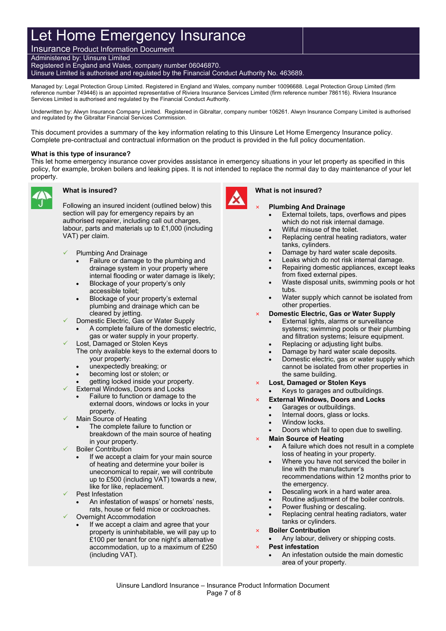# Let Home Emergency Insurance

Insurance Product Information Document Administered by: Uinsure Limited Registered in England and Wales, company number 06046870. Uinsure Limited is authorised and regulated by the Financial Conduct Authority No. 463689.

Managed by: Legal Protection Group Limited. Registered in England and Wales, company number 10096688. Legal Protection Group Limited (firm reference number 749446) is an appointed representative of Riviera Insurance Services Limited (firm reference number 786116). Riviera Insurance Services Limited is authorised and regulated by the Financial Conduct Authority.

Underwritten by: Alwyn Insurance Company Limited. Registered in Gibraltar, company number 106261. Alwyn Insurance Company Limited is authorised and regulated by the Gibraltar Financial Services Commission.

This document provides a summary of the key information relating to this Uinsure Let Home Emergency Insurance policy. Complete pre-contractual and contractual information on the product is provided in the full policy documentation.

#### **What is this type of insurance?**

This let home emergency insurance cover provides assistance in emergency situations in your let property as specified in this policy, for example, broken boilers and leaking pipes. It is not intended to replace the normal day to day maintenance of your let property.



#### **What is insured?**

Following an insured incident (outlined below) this section will pay for emergency repairs by an authorised repairer, including call out charges, labour, parts and materials up to £1,000 (including VAT) per claim.

- Plumbing And Drainage
	- Failure or damage to the plumbing and drainage system in your property where internal flooding or water damage is likely;
	- Blockage of your property's only accessible toilet;
	- Blockage of your property's external plumbing and drainage which can be cleared by jetting.
- Domestic Electric, Gas or Water Supply
	- A complete failure of the domestic electric, gas or water supply in your property.
- Lost, Damaged or Stolen Keys The only available keys to the external doors to
	- your property:
	- unexpectedly breaking; or
	- becoming lost or stolen; or
- getting locked inside your property.
	- External Windows, Doors and Locks Failure to function or damage to the external doors, windows or locks in your property.
- Main Source of Heating
	- The complete failure to function or breakdown of the main source of heating in your property.
- Boiler Contribution
	- If we accept a claim for your main source of heating and determine your boiler is uneconomical to repair, we will contribute up to £500 (including VAT) towards a new, like for like, replacement.
- Pest Infestation
	- An infestation of wasps' or hornets' nests, rats, house or field mice or cockroaches.
- Overnight Accommodation
	- If we accept a claim and agree that your property is uninhabitable, we will pay up to £100 per tenant for one night's alternative accommodation, up to a maximum of £250 (including VAT).



#### **What is not insured?**

#### × **Plumbing And Drainage**

- External toilets, taps, overflows and pipes which do not risk internal damage.
- Wilful misuse of the toilet.
- Replacing central heating radiators, water tanks, cylinders.
- Damage by hard water scale deposits.
- Leaks which do not risk internal damage. Repairing domestic appliances, except leaks
- from fixed external pipes.
- Waste disposal units, swimming pools or hot tubs.
- Water supply which cannot be isolated from other properties.
- × **Domestic Electric, Gas or Water Supply**
	- External lights, alarms or surveillance systems; swimming pools or their plumbing and filtration systems; leisure equipment.
	- Replacing or adjusting light bulbs.
	- Damage by hard water scale deposits.
	- Domestic electric, gas or water supply which cannot be isolated from other properties in the same building.
- × **Lost, Damaged or Stolen Keys**
- Keys to garages and outbuildings.
- × **External Windows, Doors and Locks**
	- Garages or outbuildings.
	- Internal doors, glass or locks.
	- Window locks.
	- Doors which fail to open due to swelling.
- × **Main Source of Heating**
	- A failure which does not result in a complete loss of heating in your property.
	- Where you have not serviced the boiler in line with the manufacturer's
		- recommendations within 12 months prior to the emergency.
	- Descaling work in a hard water area.
	- Routine adjustment of the boiler controls.
	- Power flushing or descaling.
	- Replacing central heating radiators, water tanks or cylinders.
- × **Boiler Contribution**
	- Any labour, delivery or shipping costs.
- × **Pest infestation**
	- An infestation outside the main domestic area of your property.